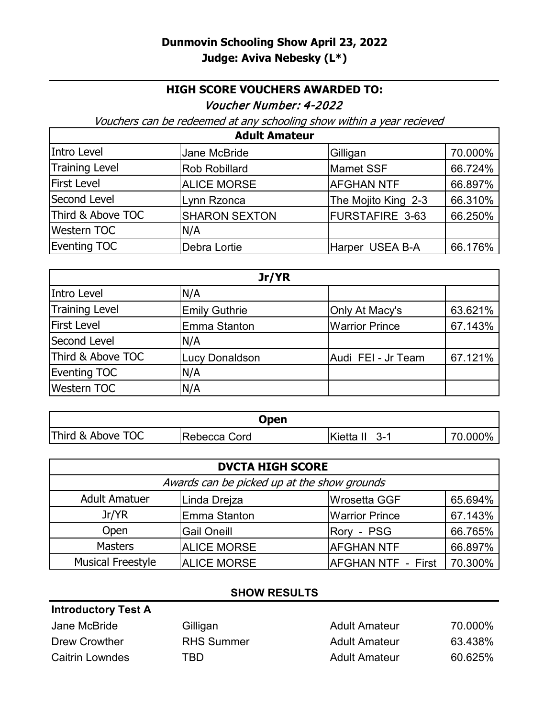## **HIGH SCORE VOUCHERS AWARDED TO:**

Voucher Number: 4-2022

Vouchers can be redeemed at any schooling show within a year recieved

| <b>Adult Amateur</b>  |                      |                        |         |
|-----------------------|----------------------|------------------------|---------|
| Intro Level           | Jane McBride         | Gilligan               | 70.000% |
| <b>Training Level</b> | <b>Rob Robillard</b> | <b>Mamet SSF</b>       | 66.724% |
| <b>First Level</b>    | <b>ALICE MORSE</b>   | <b>AFGHAN NTF</b>      | 66.897% |
| Second Level          | Lynn Rzonca          | The Mojito King 2-3    | 66.310% |
| Third & Above TOC     | <b>SHARON SEXTON</b> | <b>FURSTAFIRE 3-63</b> | 66.250% |
| <b>Western TOC</b>    | N/A                  |                        |         |
| <b>Eventing TOC</b>   | Debra Lortie         | Harper USEA B-A        | 66.176% |

| Jr/YR               |                       |                       |         |
|---------------------|-----------------------|-----------------------|---------|
| Intro Level         | N/A                   |                       |         |
| Training Level      | <b>Emily Guthrie</b>  | Only At Macy's        | 63.621% |
| <b>First Level</b>  | <b>Emma Stanton</b>   | <b>Warrior Prince</b> | 67.143% |
| Second Level        | N/A                   |                       |         |
| Third & Above TOC   | <b>Lucy Donaldson</b> | Audi FEI - Jr Team    | 67.121% |
| <b>Eventing TOC</b> | N/A                   |                       |         |
| <b>Western TOC</b>  | N/A                   |                       |         |

| Open              |              |                         |         |
|-------------------|--------------|-------------------------|---------|
| Third & Above TOC | Rebecca Cord | <b>Kietta II</b><br>3-1 | 70.000% |

| <b>DVCTA HIGH SCORE</b>                     |                    |                           |         |
|---------------------------------------------|--------------------|---------------------------|---------|
| Awards can be picked up at the show grounds |                    |                           |         |
| <b>Adult Amatuer</b>                        | Linda Drejza       | <b>Wrosetta GGF</b>       | 65.694% |
| Jr/YR                                       | Emma Stanton       | <b>Warrior Prince</b>     | 67.143% |
| Open                                        | <b>Gail Oneill</b> | Rory - PSG                | 66.765% |
| <b>Masters</b>                              | <b>ALICE MORSE</b> | <b>AFGHAN NTF</b>         | 66.897% |
| <b>Musical Freestyle</b>                    | <b>ALICE MORSE</b> | <b>AFGHAN NTF - First</b> | 70.300% |

## **SHOW RESULTS**

| <b>Introductory Test A</b> |                   |                      |         |
|----------------------------|-------------------|----------------------|---------|
| Jane McBride               | Gilligan          | <b>Adult Amateur</b> | 70.000% |
| Drew Crowther              | <b>RHS Summer</b> | <b>Adult Amateur</b> | 63.438% |
| <b>Caitrin Lowndes</b>     | TBD               | <b>Adult Amateur</b> | 60.625% |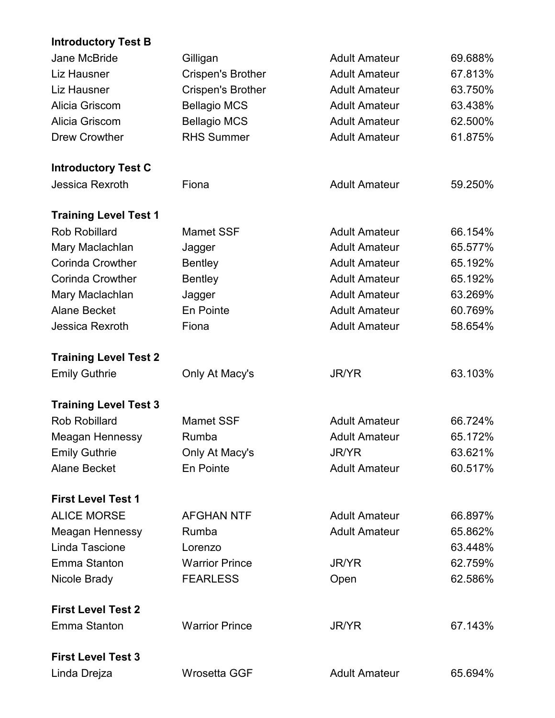## **Introductory Test B**

| Jane McBride                 | Gilligan                 | <b>Adult Amateur</b> | 69.688% |
|------------------------------|--------------------------|----------------------|---------|
| <b>Liz Hausner</b>           | <b>Crispen's Brother</b> | <b>Adult Amateur</b> | 67.813% |
| <b>Liz Hausner</b>           | <b>Crispen's Brother</b> | <b>Adult Amateur</b> | 63.750% |
| Alicia Griscom               | <b>Bellagio MCS</b>      | <b>Adult Amateur</b> | 63.438% |
| Alicia Griscom               | <b>Bellagio MCS</b>      | <b>Adult Amateur</b> | 62.500% |
| <b>Drew Crowther</b>         | <b>RHS Summer</b>        | <b>Adult Amateur</b> | 61.875% |
| <b>Introductory Test C</b>   |                          |                      |         |
| Jessica Rexroth              | Fiona                    | <b>Adult Amateur</b> | 59.250% |
| <b>Training Level Test 1</b> |                          |                      |         |
| <b>Rob Robillard</b>         | <b>Mamet SSF</b>         | <b>Adult Amateur</b> | 66.154% |
| Mary Maclachlan              | Jagger                   | <b>Adult Amateur</b> | 65.577% |
| <b>Corinda Crowther</b>      | <b>Bentley</b>           | <b>Adult Amateur</b> | 65.192% |
| <b>Corinda Crowther</b>      | <b>Bentley</b>           | <b>Adult Amateur</b> | 65.192% |
| Mary Maclachlan              | Jagger                   | <b>Adult Amateur</b> | 63.269% |
| <b>Alane Becket</b>          | En Pointe                | <b>Adult Amateur</b> | 60.769% |
| Jessica Rexroth              | Fiona                    | <b>Adult Amateur</b> | 58.654% |
| <b>Training Level Test 2</b> |                          |                      |         |
| <b>Emily Guthrie</b>         | Only At Macy's           | <b>JR/YR</b>         | 63.103% |
| <b>Training Level Test 3</b> |                          |                      |         |
| <b>Rob Robillard</b>         | <b>Mamet SSF</b>         | <b>Adult Amateur</b> | 66.724% |
| <b>Meagan Hennessy</b>       | Rumba                    | <b>Adult Amateur</b> | 65.172% |
| <b>Emily Guthrie</b>         | Only At Macy's           | <b>JR/YR</b>         | 63.621% |
| <b>Alane Becket</b>          | En Pointe                | <b>Adult Amateur</b> | 60.517% |
| <b>First Level Test 1</b>    |                          |                      |         |
| <b>ALICE MORSE</b>           | <b>AFGHAN NTF</b>        | <b>Adult Amateur</b> | 66.897% |
| Meagan Hennessy              | Rumba                    | <b>Adult Amateur</b> | 65.862% |
| Linda Tascione               | Lorenzo                  |                      | 63.448% |
| Emma Stanton                 | <b>Warrior Prince</b>    | <b>JR/YR</b>         | 62.759% |
| Nicole Brady                 | <b>FEARLESS</b>          | Open                 | 62.586% |
| <b>First Level Test 2</b>    |                          |                      |         |
| <b>Emma Stanton</b>          | <b>Warrior Prince</b>    | JR/YR                | 67.143% |
| <b>First Level Test 3</b>    |                          |                      |         |
| Linda Drejza                 | <b>Wrosetta GGF</b>      | <b>Adult Amateur</b> | 65.694% |